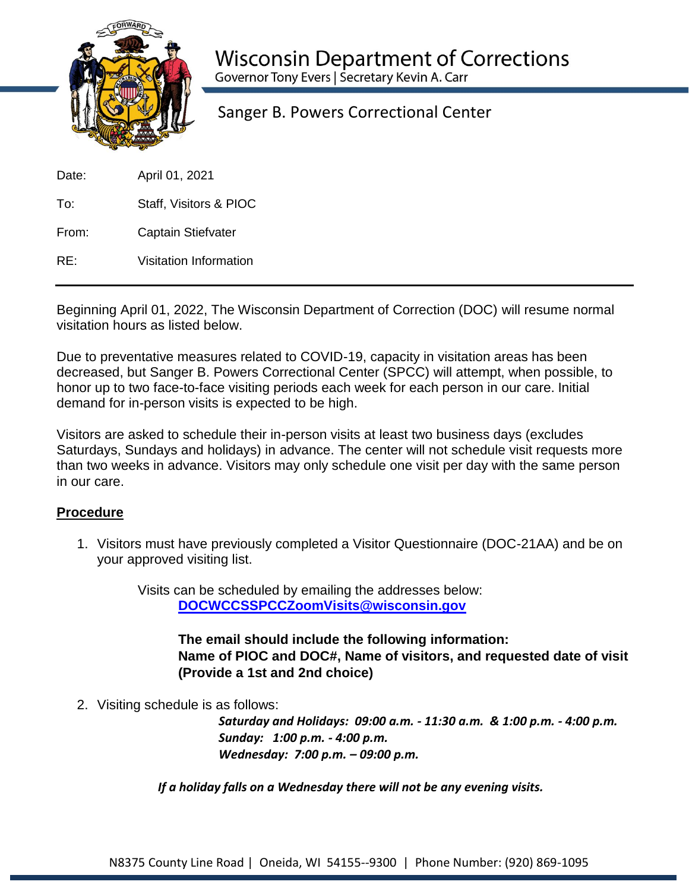

Sanger B. Powers Correctional Center

Date: April 01, 2021

To: Staff, Visitors & PIOC

From: Captain Stiefvater

RE: Visitation Information

Beginning April 01, 2022, The Wisconsin Department of Correction (DOC) will resume normal visitation hours as listed below.

Due to preventative measures related to COVID-19, capacity in visitation areas has been decreased, but Sanger B. Powers Correctional Center (SPCC) will attempt, when possible, to honor up to two face-to-face visiting periods each week for each person in our care. Initial demand for in-person visits is expected to be high.

Visitors are asked to schedule their in-person visits at least two business days (excludes Saturdays, Sundays and holidays) in advance. The center will not schedule visit requests more than two weeks in advance. Visitors may only schedule one visit per day with the same person in our care.

## **Procedure**

1. Visitors must have previously completed a Visitor Questionnaire (DOC-21AA) and be on your approved visiting list.

> Visits can be scheduled by emailing the addresses below: **[DOCWCCSSPCCZoomVisits@wisconsin.gov](mailto:DOCWCCSSPCCZoomVisits@wisconsin.gov)**

> > **The email should include the following information: Name of PIOC and DOC#, Name of visitors, and requested date of visit (Provide a 1st and 2nd choice)**

2. Visiting schedule is as follows:

*Saturday and Holidays: 09:00 a.m. - 11:30 a.m. & 1:00 p.m. - 4:00 p.m. Sunday: 1:00 p.m. - 4:00 p.m. Wednesday: 7:00 p.m. – 09:00 p.m.* 

*If a holiday falls on a Wednesday there will not be any evening visits.*